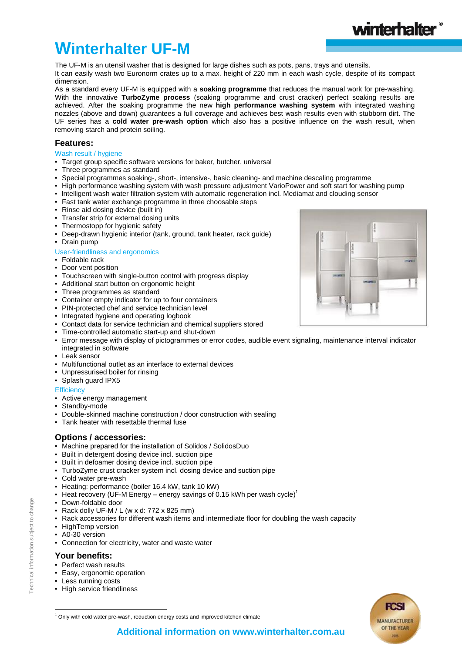## UF series has a **cold water pre-wash option** which also has a positive influence on the wash result, when removing starch and protein soiling.

**Winterhalter UF-M**

## **Features:**

dimension.

## Wash result / hygiene

- Target group specific software versions for baker, butcher, universal
- Three programmes as standard
- Special programmes soaking-, short-, intensive-, basic cleaning- and machine descaling programme

The UF-M is an utensil washer that is designed for large dishes such as pots, pans, trays and utensils.

It can easily wash two Euronorm crates up to a max. height of 220 mm in each wash cycle, despite of its compact

As a standard every UF-M is equipped with a **soaking programme** that reduces the manual work for pre-washing. With the innovative **TurboZyme process** (soaking programme and crust cracker) perfect soaking results are achieved. After the soaking programme the new **high performance washing system** with integrated washing nozzles (above and down) guarantees a full coverage and achieves best wash results even with stubborn dirt. The

- High performance washing system with wash pressure adjustment VarioPower and soft start for washing pump
- Intelligent wash water filtration system with automatic regeneration incl. Mediamat and clouding sensor
- Fast tank water exchange programme in three choosable steps
- Rinse aid dosing device (built in)
- Transfer strip for external dosing units
- **Thermostopp for hygienic safety**
- Deep-drawn hygienic interior (tank, ground, tank heater, rack guide)
- **•** Drain pump

### User-friendliness and ergonomics

- Foldable rack
- Door vent position
- Touchscreen with single-button control with progress display
- Additional start button on ergonomic height
- Three programmes as standard
- Container empty indicator for up to four containers
- PIN-protected chef and service technician level
- Integrated hygiene and operating logbook
- Contact data for service technician and chemical suppliers stored
- Time-controlled automatic start-up and shut-down
- Error message with display of pictogrammes or error codes, audible event signaling, maintenance interval indicator integrated in software
- Leak sensor
- Multifunctional outlet as an interface to external devices
- Unpressurised boiler for rinsing
- Splash guard IPX5

### **Efficiency**

- Active energy management
- Standby-mode
- Double-skinned machine construction / door construction with sealing
- Tank heater with resettable thermal fuse

## **Options / accessories:**

- Machine prepared for the installation of Solidos / SolidosDuo
- Built in detergent dosing device incl. suction pipe
- Built in defoamer dosing device incl. suction pipe
- TurboZyme crust cracker system incl. dosing device and suction pipe
- Cold water pre-wash
- Heating: performance (boiler 16.4 kW, tank 10 kW)
- **Heat recovery (UF-M Energy energy savings of 0.15 kWh per wash cycle)**<sup>1</sup>
- Down-foldable door
- **Rack dolly UF-M / L (w x d: 772 x 825 mm)**
- Rack accessories for different wash items and intermediate floor for doubling the wash capacity
- HighTemp version
- A0-30 version
- Connection for electricity, water and waste water

## **Your benefits:**

- Perfect wash results
- Easy, ergonomic operation
- **Less running costs**
- High service friendliness







1